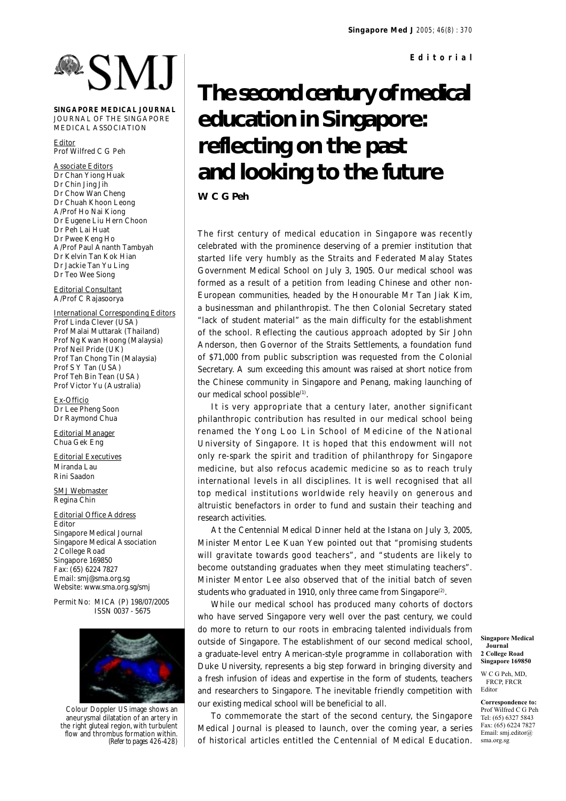# SMJ

# **SINGAPORE MEDICAL JOURNAL** JOURNAL OF THE SINGAPORE MEDICAL ASSOCIATION

Editor Prof Wilfred C G Peh

Associate Editors Dr Chan Yiong Huak Dr Chin Jing Jih Dr Chow Wan Cheng Dr Chuah Khoon Leong A/Prof Ho Nai Kiong Dr Eugene Liu Hern Choon Dr Peh Lai Huat Dr Pwee Keng Ho A/Prof Paul Ananth Tambyah Dr Kelvin Tan Kok Hian Dr Jackie Tan Yu Ling Dr Teo Wee Siong

Editorial Consultant A/Prof C Rajasoorya

International Corresponding Editors Prof Linda Clever (USA) Prof Malai Muttarak (Thailand) Prof Ng Kwan Hoong (Malaysia) Prof Neil Pride (UK) Prof Tan Chong Tin (Malaysia) Prof S Y Tan (USA) Prof Teh Bin Tean (USA) Prof Victor Yu (Australia)

Ex-Officio Dr Lee Pheng Soon Dr Raymond Chua

Editorial Manager Chua Gek Eng

Editorial Executives Miranda Lau Rini Saadon

SMJ Webmaster Regina Chin

Editorial Office Address Editor Singapore Medical Journal Singapore Medical Association 2 College Road Singapore 169850 Fax: (65) 6224 7827 Email: smj@sma.org.sg Website: www.sma.org.sg/smj

Permit No: MICA (P) 198/07/2005 ISSN 0037 - 5675



Colour Doppler US image shows an aneurysmal dilatation of an artery in the right gluteal region, with turbulent flow and thrombus formation within. *(Refer to pages 426-428)*

# **The second century of medical education in Singapore: reflecting on the past and looking to the future**

**W C G Peh**

The first century of medical education in Singapore was recently celebrated with the prominence deserving of a premier institution that started life very humbly as the Straits and Federated Malay States Government Medical School on July 3, 1905. Our medical school was formed as a result of a petition from leading Chinese and other non-European communities, headed by the Honourable Mr Tan Jiak Kim, a businessman and philanthropist. The then Colonial Secretary stated "lack of student material" as the main difficulty for the establishment of the school. Reflecting the cautious approach adopted by Sir John Anderson, then Governor of the Straits Settlements, a foundation fund of \$71,000 from public subscription was requested from the Colonial Secretary. A sum exceeding this amount was raised at short notice from the Chinese community in Singapore and Penang, making launching of our medical school possible<sup>(1)</sup>.

It is very appropriate that a century later, another significant philanthropic contribution has resulted in our medical school being renamed the Yong Loo Lin School of Medicine of the National University of Singapore. It is hoped that this endowment will not only re-spark the spirit and tradition of philanthropy for Singapore medicine, but also refocus academic medicine so as to reach truly international levels in all disciplines. It is well recognised that all top medical institutions worldwide rely heavily on generous and altruistic benefactors in order to fund and sustain their teaching and research activities.

At the Centennial Medical Dinner held at the Istana on July 3, 2005, Minister Mentor Lee Kuan Yew pointed out that "promising students will gravitate towards good teachers", and "students are likely to become outstanding graduates when they meet stimulating teachers". Minister Mentor Lee also observed that of the initial batch of seven students who graduated in 1910, only three came from Singapore<sup>(2)</sup>.

While our medical school has produced many cohorts of doctors who have served Singapore very well over the past century, we could do more to return to our roots in embracing talented individuals from outside of Singapore. The establishment of our second medical school, a graduate-level entry American-style programme in collaboration with Duke University, represents a big step forward in bringing diversity and a fresh infusion of ideas and expertise in the form of students, teachers and researchers to Singapore. The inevitable friendly competition with our existing medical school will be beneficial to all.

To commemorate the start of the second century, the Singapore Medical Journal is pleased to launch, over the coming year, a series of historical articles entitled the Centennial of Medical Education.

**Singapore Medical Journal 2 College Road Singapore 169850**

W C G Peh, MD FRCP, FRCR Editor

**Correspondence to:** Prof Wilfred C G Peh Tel: (65) 6327 5843 Fax: (65) 6224 7827 Email: smj.editor@ sma.org.sg